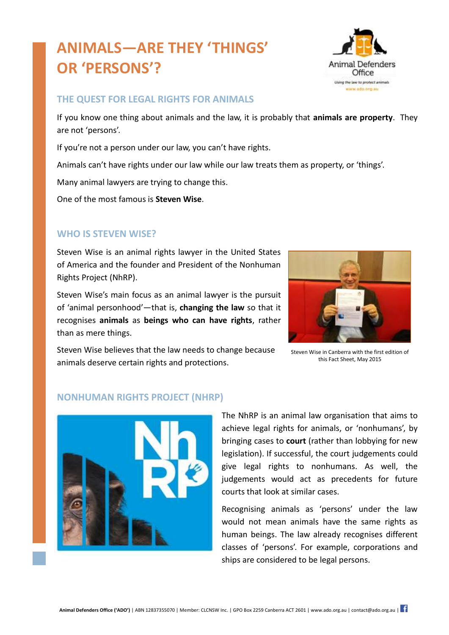# **ANIMALS—ARE THEY 'THINGS' OR 'PERSONS'?**



## **THE QUEST FOR LEGAL RIGHTS FOR ANIMALS**

If you know one thing about animals and the law, it is probably that **animals are property**. They are not 'persons'.

If you're not a person under our law, you can't have rights.

Animals can't have rights under our law while our law treats them as property, or 'things'.

Many animal lawyers are trying to change this.

One of the most famous is **Steven Wise**.

## **WHO IS STEVEN WISE?**

Steven Wise is an animal rights lawyer in the United States of America and the founder and President of the Nonhuman Rights Project (NhRP).

Steven Wise's main focus as an animal lawyer is the pursuit of 'animal personhood'—that is, **changing the law** so that it recognises **animals** as **beings who can have rights**, rather than as mere things.



Steven Wise believes that the law needs to change because animals deserve certain rights and protections.

Steven Wise in Canberra with the first edition of this Fact Sheet, May 2015

#### **NONHUMAN RIGHTS PROJECT (NHRP)**



The NhRP is an animal law organisation that aims to achieve legal rights for animals, or 'nonhumans', by bringing cases to **court** (rather than lobbying for new legislation). If successful, the court judgements could give legal rights to nonhumans. As well, the judgements would act as precedents for future courts that look at similar cases.

Recognising animals as 'persons' under the law would not mean animals have the same rights as human beings. The law already recognises different classes of 'persons'. For example, corporations and ships are considered to be legal persons.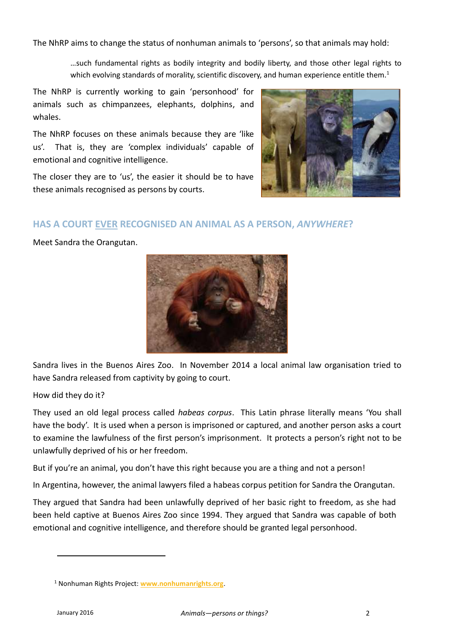The NhRP aims to change the status of nonhuman animals to 'persons', so that animals may hold:

…such fundamental rights as bodily integrity and bodily liberty, and those other legal rights to which evolving standards of morality, scientific discovery, and human experience entitle them.<sup>1</sup>

The NhRP is currently working to gain 'personhood' for animals such as chimpanzees, elephants, dolphins, and whales.

The NhRP focuses on these animals because they are 'like us'. That is, they are 'complex individuals' capable of emotional and cognitive intelligence.

The closer they are to 'us', the easier it should be to have these animals recognised as persons by courts.



#### **HAS A COURT EVER RECOGNISED AN ANIMAL AS A PERSON,** *ANYWHERE***?**

Meet Sandra the Orangutan.



Sandra lives in the Buenos Aires Zoo. In November 2014 a local animal law organisation tried to have Sandra released from captivity by going to court.

How did they do it?

They used an old legal process called *habeas corpus*. This Latin phrase literally means 'You shall have the body'. It is used when a person is imprisoned or captured, and another person asks a court to examine the lawfulness of the first person's imprisonment. It protects a person's right not to be unlawfully deprived of his or her freedom.

But if you're an animal, you don't have this right because you are a thing and not a person!

In Argentina, however, the animal lawyers filed a habeas corpus petition for Sandra the Orangutan.

They argued that Sandra had been unlawfully deprived of her basic right to freedom, as she had been held captive at Buenos Aires Zoo since 1994. They argued that Sandra was capable of both emotional and cognitive intelligence, and therefore should be granted legal personhood.

 $\overline{a}$ 

<sup>1</sup> Nonhuman Rights Project: **[www.nonhumanrights.org](http://www.nonhumanrights.org/)**.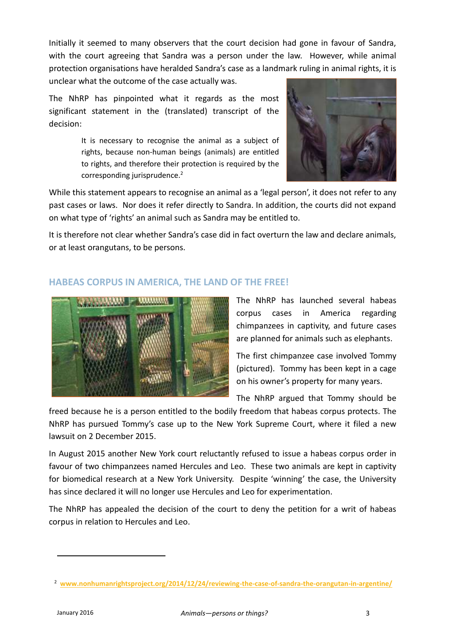Initially it seemed to many observers that the court decision had gone in favour of Sandra, with the court agreeing that Sandra was a person under the law. However, while animal protection organisations have heralded Sandra's case as a landmark ruling in animal rights, it is unclear what the outcome of the case actually was.

The NhRP has pinpointed what it regards as the most significant statement in the (translated) transcript of the decision:

> It is necessary to recognise the animal as a subject of rights, because non-human beings (animals) are entitled to rights, and therefore their protection is required by the corresponding jurisprudence.<sup>2</sup>



While this statement appears to recognise an animal as a 'legal person', it does not refer to any past cases or laws. Nor does it refer directly to Sandra. In addition, the courts did not expand on what type of 'rights' an animal such as Sandra may be entitled to.

It is therefore not clear whether Sandra's case did in fact overturn the law and declare animals, or at least orangutans, to be persons.

## **HABEAS CORPUS IN AMERICA, THE LAND OF THE FREE!**



The NhRP has launched several habeas corpus cases in America regarding chimpanzees in captivity, and future cases are planned for animals such as elephants.

The first chimpanzee case involved Tommy (pictured). Tommy has been kept in a cage on his owner's property for many years.

The NhRP argued that Tommy should be

freed because he is a person entitled to the bodily freedom that habeas corpus protects. The NhRP has pursued Tommy's case up to the New York Supreme Court, where it filed a new lawsuit on 2 December 2015.

In August 2015 another New York court reluctantly refused to issue a habeas corpus order in favour of two chimpanzees named Hercules and Leo. These two animals are kept in captivity for biomedical research at a New York University. Despite 'winning' the case, the University has since declared it will no longer use Hercules and Leo for experimentation.

The NhRP has appealed the decision of the court to deny the petition for a writ of habeas corpus in relation to Hercules and Leo.

 $\overline{a}$ 

<sup>2</sup> **[www.nonhumanrightsproject.org/2014/12/24/reviewing-the-case-of-sandra-the-orangutan-in-argentine/](http://www.nonhumanrightsproject.org/2014/12/24/reviewing-the-case-of-sandra-the-orangutan-in-argentine/)**